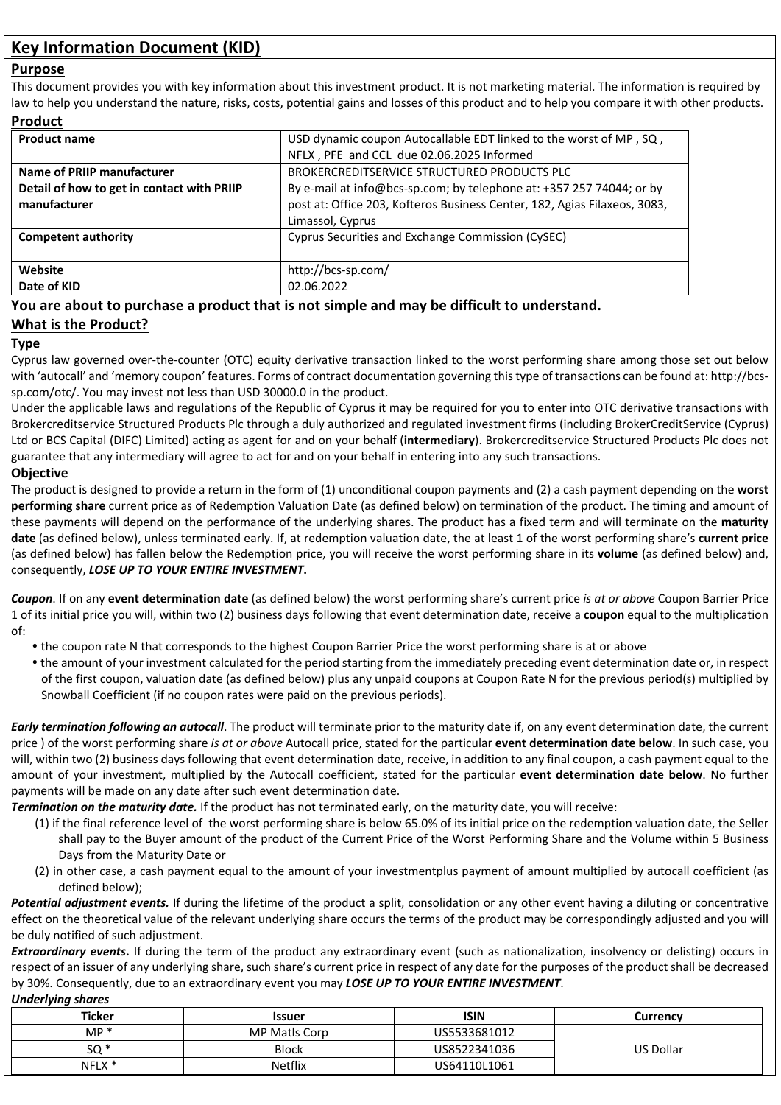# **Key Information Document (KID)**

### **Purpose**

This document provides you with key information about this investment product. It is not marketing material. The information is required by law to help you understand the nature, risks, costs, potential gains and losses of this product and to help you compare it with other products.

| <b>Product</b>                             |                                                                           |
|--------------------------------------------|---------------------------------------------------------------------------|
| <b>Product name</b>                        | USD dynamic coupon Autocallable EDT linked to the worst of MP, SQ,        |
|                                            | NFLX, PFE and CCL due 02.06.2025 Informed                                 |
| Name of PRIIP manufacturer                 | BROKERCREDITSERVICE STRUCTURED PRODUCTS PLC                               |
| Detail of how to get in contact with PRIIP | By e-mail at info@bcs-sp.com; by telephone at: +357 257 74044; or by      |
| manufacturer                               | post at: Office 203, Kofteros Business Center, 182, Agias Filaxeos, 3083, |
|                                            | Limassol, Cyprus                                                          |
| <b>Competent authority</b>                 | Cyprus Securities and Exchange Commission (CySEC)                         |
| Website                                    | http://bcs-sp.com/                                                        |
| Date of KID                                | 02.06.2022                                                                |

# **You are about to purchase a product that is not simple and may be difficult to understand.**

# **What is the Product?**

### **Type**

Cyprus law governed over-the-counter (OTC) equity derivative transaction linked to the worst performing share among those set out below with 'autocall' and 'memory coupon' features. Forms of contract documentation governing this type of transactions can be found at: http://bcssp.com/otc/. You may invest not less than USD 30000.0 in the product.

Under the applicable laws and regulations of the Republic of Cyprus it may be required for you to enter into OTC derivative transactions with Brokercreditservice Structured Products Plc through a duly authorized and regulated investment firms (including BrokerCreditService (Cyprus) Ltd or BCS Capital (DIFC) Limited) acting as agent for and on your behalf (**intermediary**). Brokercreditservice Structured Products Plc does not guarantee that any intermediary will agree to act for and on your behalf in entering into any such transactions.

# **Objective**

The product is designed to provide a return in the form of (1) unconditional coupon payments and (2) a cash payment depending on the **worst performing share** current price as of Redemption Valuation Date (as defined below) on termination of the product. The timing and amount of these payments will depend on the performance of the underlying shares. The product has a fixed term and will terminate on the **maturity date** (as defined below), unless terminated early. If, at redemption valuation date, the at least 1 of the worst performing share's **current price** (as defined below) has fallen below the Redemption price, you will receive the worst performing share in its **volume** (as defined below) and, consequently, *LOSE UP TO YOUR ENTIRE INVESTMENT***.** 

*Coupon*. If on any **event determination date** (as defined below) the worst performing share's current price *is at or above* Coupon Barrier Price 1 of its initial price you will, within two (2) business days following that event determination date, receive a **coupon** equal to the multiplication of:

- the coupon rate N that corresponds to the highest Coupon Barrier Price the worst performing share is at or above
- the amount of your investment calculated for the period starting from the immediately preceding event determination date or, in respect of the first coupon, valuation date (as defined below) plus any unpaid coupons at Coupon Rate N for the previous period(s) multiplied by Snowball Coefficient (if no coupon rates were paid on the previous periods).

*Early termination following an autocall*. The product will terminate prior to the maturity date if, on any event determination date, the current price ) of the worst performing share *is at or above* Autocall price, stated for the particular **event determination date below**. In such case, you will, within two (2) business days following that event determination date, receive, in addition to any final coupon, a cash payment equal to the amount of your investment, multiplied by the Autocall coefficient, stated for the particular **event determination date below**. No further payments will be made on any date after such event determination date.

*Termination on the maturity date.* If the product has not terminated early, on the maturity date, you will receive:

- (1) if the final reference level of the worst performing share is below 65.0% of its initial price on the redemption valuation date, the Seller shall pay to the Buyer amount of the product of the Current Price of the Worst Performing Share and the Volume within 5 Business Days from the Maturity Date or
- (2) in other case, a cash payment equal to the amount of your investmentplus payment of amount multiplied by autocall coefficient (as defined below);

*Potential adjustment events.* If during the lifetime of the product a split, consolidation or any other event having a diluting or concentrative effect on the theoretical value of the relevant underlying share occurs the terms of the product may be correspondingly adjusted and you will be duly notified of such adjustment.

**Extraordinary events.** If during the term of the product any extraordinary event (such as nationalization, insolvency or delisting) occurs in respect of an issuer of any underlying share, such share's current price in respect of any date for the purposes of the product shall be decreased by 30%. Consequently, due to an extraordinary event you may *LOSE UP TO YOUR ENTIRE INVESTMENT*.

#### *Underlying shares*

| <b>Ticker</b> | <b>Issuer</b>  | <b>ISIN</b>  | Currencv         |
|---------------|----------------|--------------|------------------|
| $MP*$         | MP Matls Corp  | US5533681012 |                  |
| $SO*$         | <b>Block</b>   | US8522341036 | <b>US Dollar</b> |
| NFLX *        | <b>Netflix</b> | US64110L1061 |                  |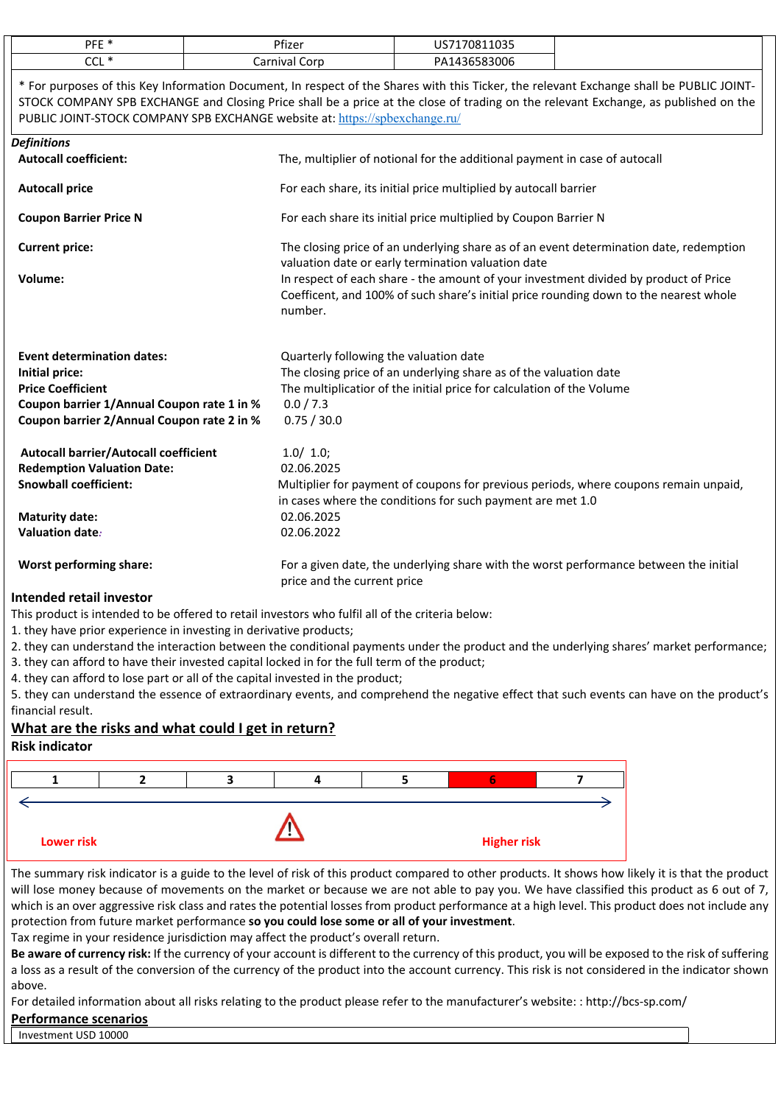| DEE <sup>*</sup><br>. . | Pfizer          | $7001102F$<br>$\overline{115}$<br>. |
|-------------------------|-----------------|-------------------------------------|
| $\sim$<br>- -<br>◡◡∟    | `∩ri<br>`arniva | 83006<br>ρΔ                         |

\* For purposes of this Key Information Document, In respect of the Shares with this Ticker, the relevant Exchange shall be PUBLIC JOINT-STOCK COMPANY SPB EXCHANGE and Closing Price shall be a price at the close of trading on the relevant Exchange, as published on the PUBLIC JOINT-STOCK COMPANY SPB EXCHANGE website at: <https://spbexchange.ru/>

| <b>Definitions</b>                           |                                                                                                                                                                                          |
|----------------------------------------------|------------------------------------------------------------------------------------------------------------------------------------------------------------------------------------------|
| <b>Autocall coefficient:</b>                 | The, multiplier of notional for the additional payment in case of autocall                                                                                                               |
| <b>Autocall price</b>                        | For each share, its initial price multiplied by autocall barrier                                                                                                                         |
| <b>Coupon Barrier Price N</b>                | For each share its initial price multiplied by Coupon Barrier N                                                                                                                          |
| <b>Current price:</b>                        | The closing price of an underlying share as of an event determination date, redemption<br>valuation date or early termination valuation date                                             |
| Volume:                                      | In respect of each share - the amount of your investment divided by product of Price<br>Coefficent, and 100% of such share's initial price rounding down to the nearest whole<br>number. |
| <b>Event determination dates:</b>            | Quarterly following the valuation date                                                                                                                                                   |
| Initial price:                               | The closing price of an underlying share as of the valuation date                                                                                                                        |
| <b>Price Coefficient</b>                     | The multiplicatior of the initial price for calculation of the Volume                                                                                                                    |
| Coupon barrier 1/Annual Coupon rate 1 in %   | 0.0 / 7.3                                                                                                                                                                                |
| Coupon barrier 2/Annual Coupon rate 2 in %   | 0.75 / 30.0                                                                                                                                                                              |
| <b>Autocall barrier/Autocall coefficient</b> | 1.0/ 1.0;                                                                                                                                                                                |
| <b>Redemption Valuation Date:</b>            | 02.06.2025                                                                                                                                                                               |
| <b>Snowball coefficient:</b>                 | Multiplier for payment of coupons for previous periods, where coupons remain unpaid,<br>in cases where the conditions for such payment are met 1.0                                       |
| <b>Maturity date:</b>                        | 02.06.2025                                                                                                                                                                               |
| <b>Valuation date:</b>                       | 02.06.2022                                                                                                                                                                               |
| <b>Worst performing share:</b>               | For a given date, the underlying share with the worst performance between the initial<br>price and the current price                                                                     |
| Intended retail investor                     |                                                                                                                                                                                          |

This product is intended to be offered to retail investors who fulfil all of the criteria below:

1. they have prior experience in investing in derivative products;

2. they can understand the interaction between the conditional payments under the product and the underlying shares' market performance;

3. they can afford to have their invested capital locked in for the full term of the product;

4. they can afford to lose part or all of the capital invested in the product;

5. they can understand the essence of extraordinary events, and comprehend the negative effect that such events can have on the product's financial result.

# **What are the risks and what could I get in return?**

# **Risk indicator**



The summary risk indicator is a guide to the level of risk of this product compared to other products. It shows how likely it is that the product will lose money because of movements on the market or because we are not able to pay you. We have classified this product as 6 out of 7, which is an over aggressive risk class and rates the potential losses from product performance at a high level. This product does not include any protection from future market performance **so you could lose some or all of your investment**.

Tax regime in your residence jurisdiction may affect the product's overall return.

**Be aware of currency risk:** If the currency of your account is different to the currency of this product, you will be exposed to the risk of suffering a loss as a result of the conversion of the currency of the product into the account currency. This risk is not considered in the indicator shown above.

For detailed information about all risks relating to the product please refer to the manufacturer's website: : http://bcs-sp.com/

# **Performance scenarios**

Investment USD 10000